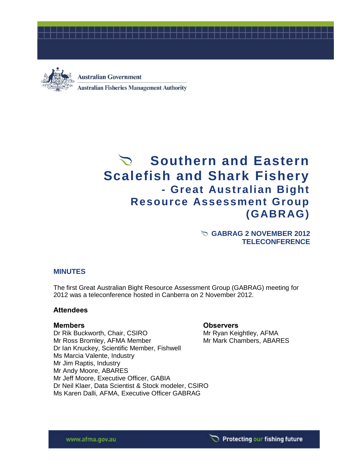



**Australian Government Australian Fisheries Management Authority** 

# Southern and Eastern **Scalefish and Shark Fishery - Great Australian Bight Resource Assessment Group (GABRAG)**

**GABRAG 2 NOVEMBER 2012 TELECONFERENCE**

# **MINUTES**

The first Great Australian Bight Resource Assessment Group (GABRAG) meeting for 2012 was a teleconference hosted in Canberra on 2 November 2012.

### **Attendees**

Dr Rik Buckworth, Chair, CSIRO Mr Ryan Keightley, AFMA Mr Ross Bromley, AFMA Member Mr Mark Chambers, ABARES Dr Ian Knuckey, Scientific Member, Fishwell Ms Marcia Valente, Industry Mr Jim Raptis, Industry Mr Andy Moore, ABARES Mr Jeff Moore, Executive Officer, GABIA Dr Neil Klaer, Data Scientist & Stock modeler, CSIRO Ms Karen Dalli, AFMA, Executive Officer GABRAG

### **Members Observers**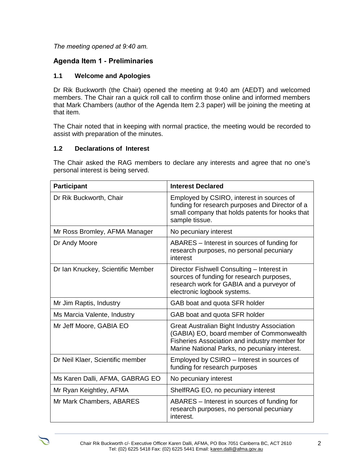# *The meeting opened at 9:40 am.*

# **Agenda Item 1 - Preliminaries**

# **1.1 Welcome and Apologies**

Dr Rik Buckworth (the Chair) opened the meeting at 9:40 am (AEDT) and welcomed members. The Chair ran a quick roll call to confirm those online and informed members that Mark Chambers (author of the Agenda Item 2.3 paper) will be joining the meeting at that item.

The Chair noted that in keeping with normal practice, the meeting would be recorded to assist with preparation of the minutes.

# **1.2 Declarations of Interest**

The Chair asked the RAG members to declare any interests and agree that no one's personal interest is being served.

| <b>Participant</b>                | <b>Interest Declared</b>                                                                                                                                                                  |
|-----------------------------------|-------------------------------------------------------------------------------------------------------------------------------------------------------------------------------------------|
| Dr Rik Buckworth, Chair           | Employed by CSIRO, interest in sources of<br>funding for research purposes and Director of a<br>small company that holds patents for hooks that<br>sample tissue.                         |
| Mr Ross Bromley, AFMA Manager     | No pecuniary interest                                                                                                                                                                     |
| Dr Andy Moore                     | ABARES – Interest in sources of funding for<br>research purposes, no personal pecuniary<br>interest                                                                                       |
| Dr Ian Knuckey, Scientific Member | Director Fishwell Consulting - Interest in<br>sources of funding for research purposes,<br>research work for GABIA and a purveyor of<br>electronic logbook systems.                       |
| Mr Jim Raptis, Industry           | GAB boat and quota SFR holder                                                                                                                                                             |
| Ms Marcia Valente, Industry       | GAB boat and quota SFR holder                                                                                                                                                             |
| Mr Jeff Moore, GABIA EO           | Great Australian Bight Industry Association<br>(GABIA) EO, board member of Commonwealth<br>Fisheries Association and industry member for<br>Marine National Parks, no pecuniary interest. |
| Dr Neil Klaer, Scientific member  | Employed by CSIRO - Interest in sources of<br>funding for research purposes                                                                                                               |
| Ms Karen Dalli, AFMA, GABRAG EO   | No pecuniary interest                                                                                                                                                                     |
| Mr Ryan Keightley, AFMA           | ShelfRAG EO, no pecuniary interest                                                                                                                                                        |
| Mr Mark Chambers, ABARES          | ABARES - Interest in sources of funding for<br>research purposes, no personal pecuniary<br>interest.                                                                                      |

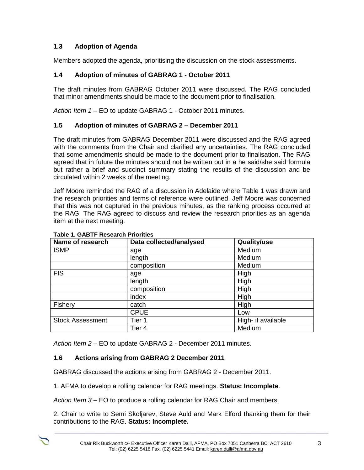# **1.3 Adoption of Agenda**

Members adopted the agenda, prioritising the discussion on the stock assessments.

# **1.4 Adoption of minutes of GABRAG 1 - October 2011**

The draft minutes from GABRAG October 2011 were discussed. The RAG concluded that minor amendments should be made to the document prior to finalisation.

*Action Item 1 –* EO to update GABRAG 1 - October 2011 minutes.

# **1.5 Adoption of minutes of GABRAG 2 – December 2011**

The draft minutes from GABRAG December 2011 were discussed and the RAG agreed with the comments from the Chair and clarified any uncertainties. The RAG concluded that some amendments should be made to the document prior to finalisation. The RAG agreed that in future the minutes should not be written out in a he said/she said formula but rather a brief and succinct summary stating the results of the discussion and be circulated within 2 weeks of the meeting.

Jeff Moore reminded the RAG of a discussion in Adelaide where Table 1 was drawn and the research priorities and terms of reference were outlined. Jeff Moore was concerned that this was not captured in the previous minutes, as the ranking process occurred at the RAG. The RAG agreed to discuss and review the research priorities as an agenda item at the next meeting.

| Name of research        | Data collected/analysed | Quality/use        |
|-------------------------|-------------------------|--------------------|
| <b>ISMP</b>             | age                     | Medium             |
|                         | length                  | Medium             |
|                         | composition             | Medium             |
| <b>FIS</b>              | age                     | High               |
|                         | length                  | High               |
|                         | composition             | High               |
|                         | index                   | High               |
| Fishery                 | catch                   | High               |
|                         | <b>CPUE</b>             | Low                |
| <b>Stock Assessment</b> | Tier 1                  | High- if available |
|                         | Tier 4                  | Medium             |

#### **Table 1. GABTF Research Priorities**

*Action Item 2 –* EO to update GABRAG 2 - December 2011 minutes.

# **1.6 Actions arising from GABRAG 2 December 2011**

GABRAG discussed the actions arising from GABRAG 2 - December 2011.

1. AFMA to develop a rolling calendar for RAG meetings. **Status: Incomplete**.

*Action Item 3 –* EO to produce a rolling calendar for RAG Chair and members.

2. Chair to write to Semi Skoljarev, Steve Auld and Mark Elford thanking them for their contributions to the RAG. **Status: Incomplete.**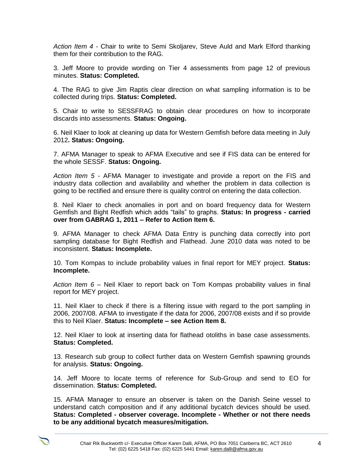*Action Item 4 -* Chair to write to Semi Skoljarev, Steve Auld and Mark Elford thanking them for their contribution to the RAG.

3. Jeff Moore to provide wording on Tier 4 assessments from page 12 of previous minutes. **Status: Completed.**

4. The RAG to give Jim Raptis clear direction on what sampling information is to be collected during trips. **Status: Completed.**

5. Chair to write to SESSFRAG to obtain clear procedures on how to incorporate discards into assessments. **Status: Ongoing.**

6. Neil Klaer to look at cleaning up data for Western Gemfish before data meeting in July 2012**. Status: Ongoing.**

7. AFMA Manager to speak to AFMA Executive and see if FIS data can be entered for the whole SESSF. **Status: Ongoing.**

*Action Item 5 -* AFMA Manager to investigate and provide a report on the FIS and industry data collection and availability and whether the problem in data collection is going to be rectified and ensure there is quality control on entering the data collection.

8. Neil Klaer to check anomalies in port and on board frequency data for Western Gemfish and Bight Redfish which adds "tails" to graphs. **Status: In progress - carried over from GABRAG 1, 2011 – Refer to Action Item 6.**

9. AFMA Manager to check AFMA Data Entry is punching data correctly into port sampling database for Bight Redfish and Flathead. June 2010 data was noted to be inconsistent. **Status: Incomplete.**

10. Tom Kompas to include probability values in final report for MEY project. **Status: Incomplete.**

*Action Item 6 –* Neil Klaer to report back on Tom Kompas probability values in final report for MEY project.

11. Neil Klaer to check if there is a filtering issue with regard to the port sampling in 2006, 2007/08. AFMA to investigate if the data for 2006, 2007/08 exists and if so provide this to Neil Klaer. **Status: Incomplete – see Action Item 8.**

12. Neil Klaer to look at inserting data for flathead otoliths in base case assessments. **Status: Completed.**

13. Research sub group to collect further data on Western Gemfish spawning grounds for analysis. **Status: Ongoing.**

14. Jeff Moore to locate terms of reference for Sub-Group and send to EO for dissemination. **Status: Completed.**

15. AFMA Manager to ensure an observer is taken on the Danish Seine vessel to understand catch composition and if any additional bycatch devices should be used. **Status: Completed - observer coverage. Incomplete - Whether or not there needs to be any additional bycatch measures/mitigation.**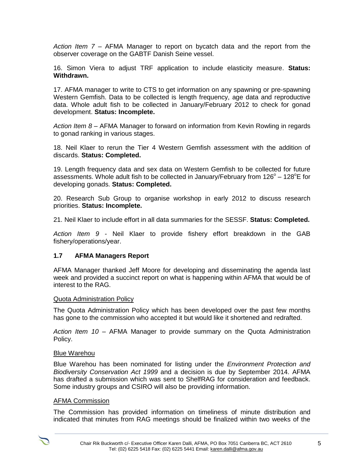*Action Item 7 –* AFMA Manager to report on bycatch data and the report from the observer coverage on the GABTF Danish Seine vessel.

16. Simon Viera to adjust TRF application to include elasticity measure. **Status: Withdrawn.**

17. AFMA manager to write to CTS to get information on any spawning or pre-spawning Western Gemfish. Data to be collected is length frequency, age data and reproductive data. Whole adult fish to be collected in January/February 2012 to check for gonad development. **Status: Incomplete.**

*Action Item 8 –* AFMA Manager to forward on information from Kevin Rowling in regards to gonad ranking in various stages.

18. Neil Klaer to rerun the Tier 4 Western Gemfish assessment with the addition of discards. **Status: Completed.**

19. Length frequency data and sex data on Western Gemfish to be collected for future assessments. Whole adult fish to be collected in January/February from  $126^{\circ}$  –  $128^{\circ}$ E for developing gonads. **Status: Completed.**

20. Research Sub Group to organise workshop in early 2012 to discuss research priorities. **Status: Incomplete.**

21. Neil Klaer to include effort in all data summaries for the SESSF. **Status: Completed.** 

*Action Item 9 -* Neil Klaer to provide fishery effort breakdown in the GAB fishery/operations/year.

#### **1.7 AFMA Managers Report**

AFMA Manager thanked Jeff Moore for developing and disseminating the agenda last week and provided a succinct report on what is happening within AFMA that would be of interest to the RAG.

#### Quota Administration Policy

The Quota Administration Policy which has been developed over the past few months has gone to the commission who accepted it but would like it shortened and redrafted.

*Action Item 10 –* AFMA Manager to provide summary on the Quota Administration Policy.

#### Blue Warehou

Blue Warehou has been nominated for listing under the *Environment Protection and Biodiversity Conservation Act 1999* and a decision is due by September 2014. AFMA has drafted a submission which was sent to ShelfRAG for consideration and feedback. Some industry groups and CSIRO will also be providing information.

#### AFMA Commission

The Commission has provided information on timeliness of minute distribution and indicated that minutes from RAG meetings should be finalized within two weeks of the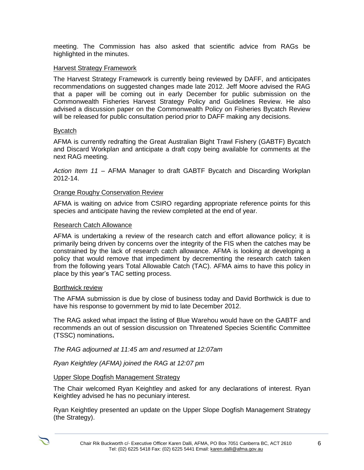meeting. The Commission has also asked that scientific advice from RAGs be highlighted in the minutes.

### Harvest Strategy Framework

The Harvest Strategy Framework is currently being reviewed by DAFF, and anticipates recommendations on suggested changes made late 2012. Jeff Moore advised the RAG that a paper will be coming out in early December for public submission on the Commonwealth Fisheries Harvest Strategy Policy and Guidelines Review. He also advised a discussion paper on the Commonwealth Policy on Fisheries Bycatch Review will be released for public consultation period prior to DAFF making any decisions.

### Bycatch

AFMA is currently redrafting the Great Australian Bight Trawl Fishery (GABTF) Bycatch and Discard Workplan and anticipate a draft copy being available for comments at the next RAG meeting.

*Action Item 11 –* AFMA Manager to draft GABTF Bycatch and Discarding Workplan 2012-14.

### Orange Roughy Conservation Review

AFMA is waiting on advice from CSIRO regarding appropriate reference points for this species and anticipate having the review completed at the end of year.

#### Research Catch Allowance

AFMA is undertaking a review of the research catch and effort allowance policy; it is primarily being driven by concerns over the integrity of the FIS when the catches may be constrained by the lack of research catch allowance. AFMA is looking at developing a policy that would remove that impediment by decrementing the research catch taken from the following years Total Allowable Catch (TAC). AFMA aims to have this policy in place by this year's TAC setting process.

#### Borthwick review

The AFMA submission is due by close of business today and David Borthwick is due to have his response to government by mid to late December 2012.

The RAG asked what impact the listing of Blue Warehou would have on the GABTF and recommends an out of session discussion on Threatened Species Scientific Committee (TSSC) nominations**.**

*The RAG adjourned at 11:45 am and resumed at 12:07am*

*Ryan Keightley (AFMA) joined the RAG at 12:07 pm*

### Upper Slope Dogfish Management Strategy

The Chair welcomed Ryan Keightley and asked for any declarations of interest. Ryan Keightley advised he has no pecuniary interest.

Ryan Keightley presented an update on the Upper Slope Dogfish Management Strategy (the Strategy).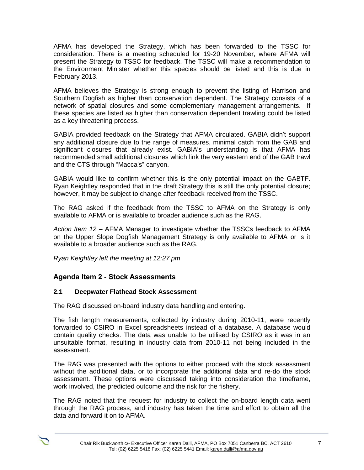AFMA has developed the Strategy, which has been forwarded to the TSSC for consideration. There is a meeting scheduled for 19-20 November, where AFMA will present the Strategy to TSSC for feedback. The TSSC will make a recommendation to the Environment Minister whether this species should be listed and this is due in February 2013.

AFMA believes the Strategy is strong enough to prevent the listing of Harrison and Southern Dogfish as higher than conservation dependent. The Strategy consists of a network of spatial closures and some complementary management arrangements. If these species are listed as higher than conservation dependent trawling could be listed as a key threatening process.

GABIA provided feedback on the Strategy that AFMA circulated. GABIA didn't support any additional closure due to the range of measures, minimal catch from the GAB and significant closures that already exist. GABIA's understanding is that AFMA has recommended small additional closures which link the very eastern end of the GAB trawl and the CTS through "Macca's" canyon.

GABIA would like to confirm whether this is the only potential impact on the GABTF. Ryan Keightley responded that in the draft Strategy this is still the only potential closure; however, it may be subject to change after feedback received from the TSSC.

The RAG asked if the feedback from the TSSC to AFMA on the Strategy is only available to AFMA or is available to broader audience such as the RAG.

*Action Item 12 –* AFMA Manager to investigate whether the TSSCs feedback to AFMA on the Upper Slope Dogfish Management Strategy is only available to AFMA or is it available to a broader audience such as the RAG.

*Ryan Keightley left the meeting at 12:27 pm*

# **Agenda Item 2 - Stock Assessments**

### **2.1 Deepwater Flathead Stock Assessment**

The RAG discussed on-board industry data handling and entering.

The fish length measurements, collected by industry during 2010-11, were recently forwarded to CSIRO in Excel spreadsheets instead of a database. A database would contain quality checks. The data was unable to be utilised by CSIRO as it was in an unsuitable format, resulting in industry data from 2010-11 not being included in the assessment.

The RAG was presented with the options to either proceed with the stock assessment without the additional data, or to incorporate the additional data and re-do the stock assessment. These options were discussed taking into consideration the timeframe, work involved, the predicted outcome and the risk for the fishery.

The RAG noted that the request for industry to collect the on-board length data went through the RAG process, and industry has taken the time and effort to obtain all the data and forward it on to AFMA.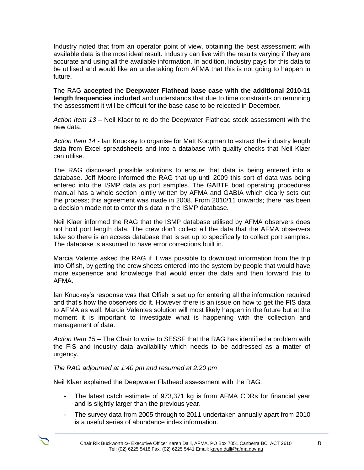Industry noted that from an operator point of view, obtaining the best assessment with available data is the most ideal result. Industry can live with the results varying if they are accurate and using all the available information. In addition, industry pays for this data to be utilised and would like an undertaking from AFMA that this is not going to happen in future.

The RAG **accepted** the **Deepwater Flathead base case with the additional 2010-11 length frequencies included** and understands that due to time constraints on rerunning the assessment it will be difficult for the base case to be rejected in December.

*Action Item 13 –* Neil Klaer to re do the Deepwater Flathead stock assessment with the new data.

*Action Item 14 -* Ian Knuckey to organise for Matt Koopman to extract the industry length data from Excel spreadsheets and into a database with quality checks that Neil Klaer can utilise.

The RAG discussed possible solutions to ensure that data is being entered into a database. Jeff Moore informed the RAG that up until 2009 this sort of data was being entered into the ISMP data as port samples. The GABTF boat operating procedures manual has a whole section jointly written by AFMA and GABIA which clearly sets out the process; this agreement was made in 2008. From 2010/11 onwards; there has been a decision made not to enter this data in the ISMP database.

Neil Klaer informed the RAG that the ISMP database utilised by AFMA observers does not hold port length data. The crew don't collect all the data that the AFMA observers take so there is an access database that is set up to specifically to collect port samples. The database is assumed to have error corrections built in.

Marcia Valente asked the RAG if it was possible to download information from the trip into Olfish, by getting the crew sheets entered into the system by people that would have more experience and knowledge that would enter the data and then forward this to AFMA.

Ian Knuckey's response was that Olfish is set up for entering all the information required and that's how the observers do it. However there is an issue on how to get the FIS data to AFMA as well. Marcia Valentes solution will most likely happen in the future but at the moment it is important to investigate what is happening with the collection and management of data.

*Action Item 15 –* The Chair to write to SESSF that the RAG has identified a problem with the FIS and industry data availability which needs to be addressed as a matter of urgency.

### *The RAG adjourned at 1:40 pm and resumed at 2:20 pm*

Neil Klaer explained the Deepwater Flathead assessment with the RAG.

- The latest catch estimate of 973,371 kg is from AFMA CDRs for financial year and is slightly larger than the previous year.
- The survey data from 2005 through to 2011 undertaken annually apart from 2010 is a useful series of abundance index information.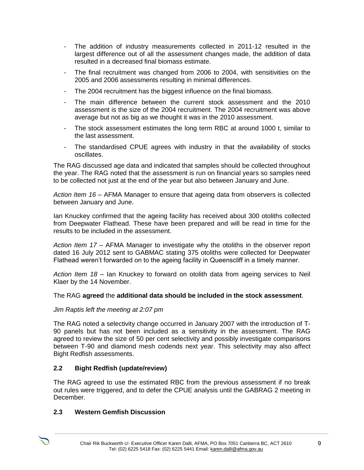- The addition of industry measurements collected in 2011-12 resulted in the largest difference out of all the assessment changes made, the addition of data resulted in a decreased final biomass estimate.
- The final recruitment was changed from 2006 to 2004, with sensitivities on the 2005 and 2006 assessments resulting in minimal differences.
- The 2004 recruitment has the biggest influence on the final biomass.
- The main difference between the current stock assessment and the 2010 assessment is the size of the 2004 recruitment. The 2004 recruitment was above average but not as big as we thought it was in the 2010 assessment.
- The stock assessment estimates the long term RBC at around 1000 t, similar to the last assessment.
- The standardised CPUE agrees with industry in that the availability of stocks oscillates.

The RAG discussed age data and indicated that samples should be collected throughout the year. The RAG noted that the assessment is run on financial years so samples need to be collected not just at the end of the year but also between January and June.

*Action Item 16 –* AFMA Manager to ensure that ageing data from observers is collected between January and June.

Ian Knuckey confirmed that the ageing facility has received about 300 otoliths collected from Deepwater Flathead. These have been prepared and will be read in time for the results to be included in the assessment.

*Action Item 17 –* AFMA Manager to investigate why the otoliths in the observer report dated 16 July 2012 sent to GABMAC stating 375 otoliths were collected for Deepwater Flathead weren't forwarded on to the ageing facility in Queenscliff in a timely manner.

*Action Item 18 –* Ian Knuckey to forward on otolith data from ageing services to Neil Klaer by the 14 November.

### The RAG **agreed** the **additional data should be included in the stock assessment**.

### *Jim Raptis left the meeting at 2:07 pm*

The RAG noted a selectivity change occurred in January 2007 with the introduction of T-90 panels but has not been included as a sensitivity in the assessment. The RAG agreed to review the size of 50 per cent selectivity and possibly investigate comparisons between T-90 and diamond mesh codends next year. This selectivity may also affect Bight Redfish assessments.

# **2.2 Bight Redfish (update/review)**

The RAG agreed to use the estimated RBC from the previous assessment if no break out rules were triggered, and to defer the CPUE analysis until the GABRAG 2 meeting in December.

### **2.3 Western Gemfish Discussion**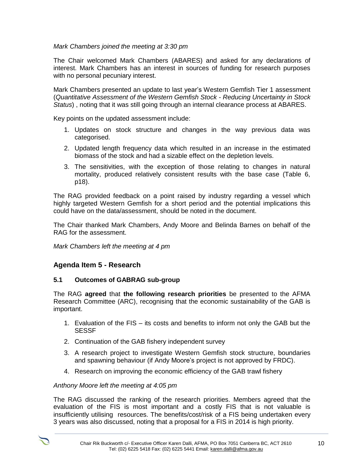# *Mark Chambers joined the meeting at 3:30 pm*

The Chair welcomed Mark Chambers (ABARES) and asked for any declarations of interest. Mark Chambers has an interest in sources of funding for research purposes with no personal pecuniary interest.

Mark Chambers presented an update to last year's Western Gemfish Tier 1 assessment (*Quantitative Assessment of the Western Gemfish Stock - Reducing Uncertainty in Stock Status*) , noting that it was still going through an internal clearance process at ABARES.

Key points on the updated assessment include:

- 1. Updates on stock structure and changes in the way previous data was categorised.
- 2. Updated length frequency data which resulted in an increase in the estimated biomass of the stock and had a sizable effect on the depletion levels.
- 3. The sensitivities, with the exception of those relating to changes in natural mortality, produced relatively consistent results with the base case (Table 6, p18).

The RAG provided feedback on a point raised by industry regarding a vessel which highly targeted Western Gemfish for a short period and the potential implications this could have on the data/assessment, should be noted in the document.

The Chair thanked Mark Chambers, Andy Moore and Belinda Barnes on behalf of the RAG for the assessment.

*Mark Chambers left the meeting at 4 pm*

# **Agenda Item 5 - Research**

### **5.1 Outcomes of GABRAG sub-group**

The RAG **agreed** that **the following research priorities** be presented to the AFMA Research Committee (ARC), recognising that the economic sustainability of the GAB is important.

- 1. Evaluation of the FIS its costs and benefits to inform not only the GAB but the SESSF
- 2. Continuation of the GAB fishery independent survey
- 3. A research project to investigate Western Gemfish stock structure, boundaries and spawning behaviour (if Andy Moore's project is not approved by FRDC).
- 4. Research on improving the economic efficiency of the GAB trawl fishery

### *Anthony Moore left the meeting at 4:05 pm*

The RAG discussed the ranking of the research priorities. Members agreed that the evaluation of the FIS is most important and a costly FIS that is not valuable is insufficiently utilising resources. The benefits/cost/risk of a FIS being undertaken every 3 years was also discussed, noting that a proposal for a FIS in 2014 is high priority.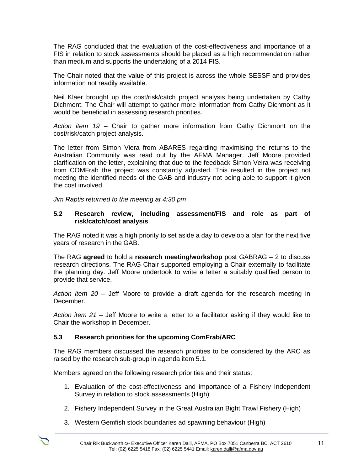The RAG concluded that the evaluation of the cost-effectiveness and importance of a FIS in relation to stock assessments should be placed as a high recommendation rather than medium and supports the undertaking of a 2014 FIS.

The Chair noted that the value of this project is across the whole SESSF and provides information not readily available.

Neil Klaer brought up the cost/risk/catch project analysis being undertaken by Cathy Dichmont. The Chair will attempt to gather more information from Cathy Dichmont as it would be beneficial in assessing research priorities.

*Action item 19* – Chair to gather more information from Cathy Dichmont on the cost/risk/catch project analysis.

The letter from Simon Viera from ABARES regarding maximising the returns to the Australian Community was read out by the AFMA Manager. Jeff Moore provided clarification on the letter, explaining that due to the feedback Simon Veira was receiving from COMFrab the project was constantly adjusted. This resulted in the project not meeting the identified needs of the GAB and industry not being able to support it given the cost involved.

*Jim Raptis returned to the meeting at 4:30 pm*

#### **5.2 Research review, including assessment/FIS and role as part of risk/catch/cost analysis**

The RAG noted it was a high priority to set aside a day to develop a plan for the next five years of research in the GAB.

The RAG **agreed** to hold a **research meeting/workshop** post GABRAG – 2 to discuss research directions. The RAG Chair supported employing a Chair externally to facilitate the planning day. Jeff Moore undertook to write a letter a suitably qualified person to provide that service.

*Action item 20 –* Jeff Moore to provide a draft agenda for the research meeting in December.

*Action item 21 –* Jeff Moore to write a letter to a facilitator asking if they would like to Chair the workshop in December.

### **5.3 Research priorities for the upcoming ComFrab/ARC**

The RAG members discussed the research priorities to be considered by the ARC as raised by the research sub-group in agenda item 5.1.

Members agreed on the following research priorities and their status:

- 1. Evaluation of the cost-effectiveness and importance of a Fishery Independent Survey in relation to stock assessments (High)
- 2. Fishery Independent Survey in the Great Australian Bight Trawl Fishery (High)
- 3. Western Gemfish stock boundaries ad spawning behaviour (High)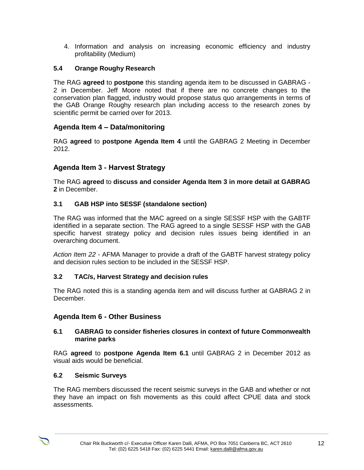4. Information and analysis on increasing economic efficiency and industry profitability (Medium)

# **5.4 Orange Roughy Research**

The RAG **agreed** to **postpone** this standing agenda item to be discussed in GABRAG - 2 in December. Jeff Moore noted that if there are no concrete changes to the conservation plan flagged, industry would propose status quo arrangements in terms of the GAB Orange Roughy research plan including access to the research zones by scientific permit be carried over for 2013.

# **Agenda Item 4 – Data/monitoring**

RAG **agreed** to **postpone Agenda Item 4** until the GABRAG 2 Meeting in December 2012.

# **Agenda Item 3 - Harvest Strategy**

The RAG **agreed** to **discuss and consider Agenda Item 3 in more detail at GABRAG 2** in December.

#### **3.1 GAB HSP into SESSF (standalone section)**

The RAG was informed that the MAC agreed on a single SESSF HSP with the GABTF identified in a separate section. The RAG agreed to a single SESSF HSP with the GAB specific harvest strategy policy and decision rules issues being identified in an overarching document.

*Action Item 22 -* AFMA Manager to provide a draft of the GABTF harvest strategy policy and decision rules section to be included in the SESSF HSP.

### **3.2 TAC/s, Harvest Strategy and decision rules**

The RAG noted this is a standing agenda item and will discuss further at GABRAG 2 in December.

### **Agenda Item 6 - Other Business**

#### **6.1 GABRAG to consider fisheries closures in context of future Commonwealth marine parks**

RAG **agreed** to **postpone Agenda Item 6.1** until GABRAG 2 in December 2012 as visual aids would be beneficial.

#### **6.2 Seismic Surveys**

The RAG members discussed the recent seismic surveys in the GAB and whether or not they have an impact on fish movements as this could affect CPUE data and stock assessments.

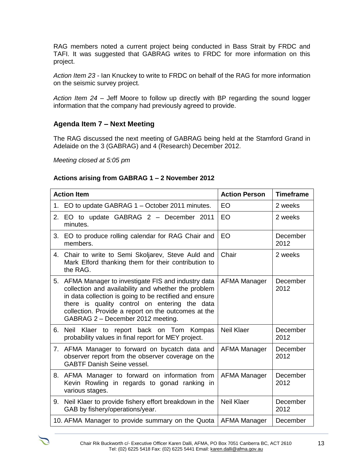RAG members noted a current project being conducted in Bass Strait by FRDC and TAFI. It was suggested that GABRAG writes to FRDC for more information on this project.

*Action Item 23 -* Ian Knuckey to write to FRDC on behalf of the RAG for more information on the seismic survey project.

*Action Item 24 –* Jeff Moore to follow up directly with BP regarding the sound logger information that the company had previously agreed to provide.

# **Agenda Item 7 – Next Meeting**

The RAG discussed the next meeting of GABRAG being held at the Stamford Grand in Adelaide on the 3 (GABRAG) and 4 (Research) December 2012.

*Meeting closed at 5:05 pm*

### **Actions arising from GABRAG 1 – 2 November 2012**

| <b>Action Item</b>                                                                                                                                                                                                                                                                                                    | <b>Action Person</b> | <b>Timeframe</b> |
|-----------------------------------------------------------------------------------------------------------------------------------------------------------------------------------------------------------------------------------------------------------------------------------------------------------------------|----------------------|------------------|
| 1. EO to update GABRAG 1 - October 2011 minutes.                                                                                                                                                                                                                                                                      | EO                   | 2 weeks          |
| 2. EO to update GABRAG 2 - December 2011<br>minutes.                                                                                                                                                                                                                                                                  | EO                   | 2 weeks          |
| 3.<br>EO to produce rolling calendar for RAG Chair and<br>members.                                                                                                                                                                                                                                                    | EO                   | December<br>2012 |
| 4.<br>Chair to write to Semi Skoljarev, Steve Auld and<br>Mark Elford thanking them for their contribution to<br>the RAG.                                                                                                                                                                                             | Chair                | 2 weeks          |
| 5.<br>AFMA Manager to investigate FIS and industry data<br>collection and availability and whether the problem<br>in data collection is going to be rectified and ensure<br>there is quality control on entering the data<br>collection. Provide a report on the outcomes at the<br>GABRAG 2 - December 2012 meeting. | <b>AFMA Manager</b>  | December<br>2012 |
| Neil Klaer to report back on Tom Kompas<br>6.<br>probability values in final report for MEY project.                                                                                                                                                                                                                  | <b>Neil Klaer</b>    | December<br>2012 |
| AFMA Manager to forward on bycatch data and<br>7.<br>observer report from the observer coverage on the<br><b>GABTF Danish Seine vessel.</b>                                                                                                                                                                           | AFMA Manager         | December<br>2012 |
| AFMA Manager to forward on information from<br>8.<br>Kevin Rowling in regards to gonad ranking in<br>various stages.                                                                                                                                                                                                  | AFMA Manager         | December<br>2012 |
| Neil Klaer to provide fishery effort breakdown in the<br>9.<br>GAB by fishery/operations/year.                                                                                                                                                                                                                        | <b>Neil Klaer</b>    | December<br>2012 |
| 10. AFMA Manager to provide summary on the Quota                                                                                                                                                                                                                                                                      | AFMA Manager         | December         |